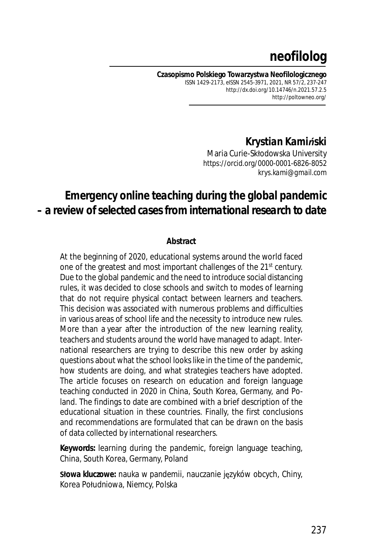# **neofilolog**

**Czasopismo Polskiego Towarzystwa Neofilologicznego** ISSN 1429-2173, eISSN 2545-3971, 2021, NR 57/2, 237-247 *http://dx.doi.org/10.14746/n.2021.57.2.5* http://poltowneo.org/

### *Krystian Kamiński*

Maria Curie-Skłodowska University https://orcid.org/0000-0001-6826-8052 *krys.kami@gmail.com*

## *Emergency online teaching during the global pandemic – a review of selected cases from international research to date*

#### **Abstract**

At the beginning of 2020, educational systems around the world faced one of the greatest and most important challenges of the 21<sup>st</sup> century. Due to the global pandemic and the need to introduce social distancing rules, it was decided to close schools and switch to modes of learning that do not require physical contact between learners and teachers. This decision was associated with numerous problems and difficulties in various areas of school life and the necessity to introduce new rules. More than a year after the introduction of the new learning reality, teachers and students around the world have managed to adapt. International researchers are trying to describe this new order by asking questions about what the school looks like in the time of the pandemic, how students are doing, and what strategies teachers have adopted. The article focuses on research on education and foreign language teaching conducted in 2020 in China, South Korea, Germany, and Poland. The findings to date are combined with a brief description of the educational situation in these countries. Finally, the first conclusions and recommendations are formulated that can be drawn on the basis of data collected by international researchers.

**Keywords:** learning during the pandemic, foreign language teaching, China, South Korea, Germany, Poland

**Słowa kluczowe:** nauka w pandemii, nauczanie języków obcych, Chiny, Korea Południowa, Niemcy, Polska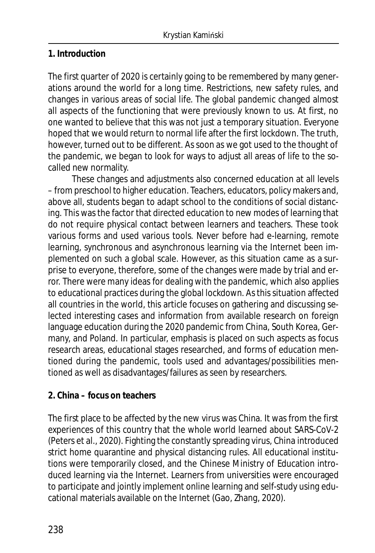#### **1. Introduction**

The first quarter of 2020 is certainly going to be remembered by many generations around the world for a long time. Restrictions, new safety rules, and changes in various areas of social life. The global pandemic changed almost all aspects of the functioning that were previously known to us. At first, no one wanted to believe that this was not just a temporary situation. Everyone hoped that we would return to normal life after the first lockdown. The truth, however, turned out to be different. As soon as we got used to the thought of the pandemic, we began to look for ways to adjust all areas of life to the socalled new normality.

These changes and adjustments also concerned education at all levels – from preschool to higher education. Teachers, educators, policy makers and, above all, students began to adapt school to the conditions of social distancing. This was the factor that directed education to new modes of learning that do not require physical contact between learners and teachers. These took various forms and used various tools. Never before had e-learning, remote learning, synchronous and asynchronous learning via the Internet been implemented on such a global scale. However, as this situation came as a surprise to everyone, therefore, some of the changes were made by trial and error. There were many ideas for dealing with the pandemic, which also applies to educational practices during the global lockdown. As this situation affected all countries in the world, this article focuses on gathering and discussing selected interesting cases and information from available research on foreign language education during the 2020 pandemic from China, South Korea, Germany, and Poland. In particular, emphasis is placed on such aspects as focus research areas, educational stages researched, and forms of education mentioned during the pandemic, tools used and advantages/possibilities mentioned as well as disadvantages/failures as seen by researchers.

#### **2. China – focus on teachers**

The first place to be affected by the new virus was China. It was from the first experiences of this country that the whole world learned about SARS-CoV-2 (Peters et al., 2020). Fighting the constantly spreading virus, China introduced strict home quarantine and physical distancing rules. All educational institutions were temporarily closed, and the Chinese Ministry of Education introduced learning via the Internet. Learners from universities were encouraged to participate and jointly implement online learning and self-study using educational materials available on the Internet (Gao, Zhang, 2020).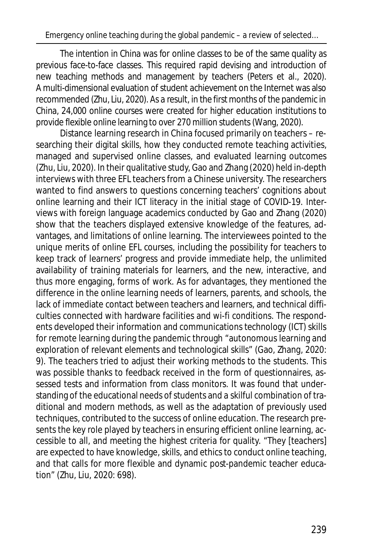The intention in China was for online classes to be of the same quality as previous face-to-face classes. This required rapid devising and introduction of new teaching methods and management by teachers (Peters et al., 2020). A multi-dimensional evaluation of student achievement on the Internet was also recommended (Zhu, Liu, 2020). As a result, in the first months of the pandemic in China, 24,000 online courses were created for higher education institutions to provide flexible online learning to over 270 million students (Wang, 2020).

Distance learning research in China focused primarily on teachers – researching their digital skills, how they conducted remote teaching activities, managed and supervised online classes, and evaluated learning outcomes (Zhu, Liu, 2020). In their qualitative study, Gao and Zhang (2020) held in-depth interviews with three EFL teachers from a Chinese university. The researchers wanted to find answers to questions concerning teachers' cognitions about online learning and their ICT literacy in the initial stage of COVID-19. Interviews with foreign language academics conducted by Gao and Zhang (2020) show that the teachers displayed extensive knowledge of the features, advantages, and limitations of online learning. The interviewees pointed to the unique merits of online EFL courses, including the possibility for teachers to keep track of learners' progress and provide immediate help, the unlimited availability of training materials for learners, and the new, interactive, and thus more engaging, forms of work. As for advantages, they mentioned the difference in the online learning needs of learners, parents, and schools, the lack of immediate contact between teachers and learners, and technical difficulties connected with hardware facilities and wi-fi conditions. The respondents developed their information and communications technology (ICT) skills for remote learning during the pandemic through "autonomous learning and exploration of relevant elements and technological skills" (Gao, Zhang, 2020: 9). The teachers tried to adjust their working methods to the students. This was possible thanks to feedback received in the form of questionnaires, assessed tests and information from class monitors. It was found that understanding of the educational needs of students and a skilful combination of traditional and modern methods, as well as the adaptation of previously used techniques, contributed to the success of online education. The research presents the key role played by teachers in ensuring efficient online learning, accessible to all, and meeting the highest criteria for quality. "They [teachers] are expected to have knowledge, skills, and ethics to conduct online teaching, and that calls for more flexible and dynamic post-pandemic teacher education" (Zhu, Liu, 2020: 698).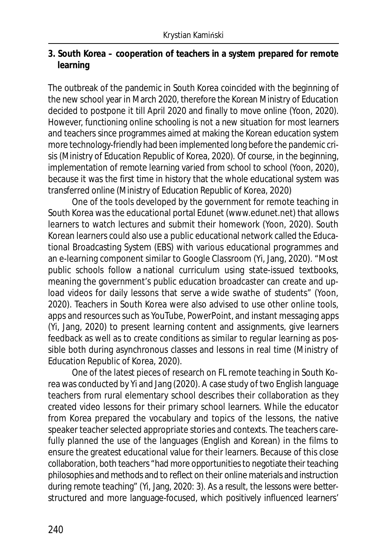**3. South Korea – cooperation of teachers in a system prepared for remote learning**

The outbreak of the pandemic in South Korea coincided with the beginning of the new school year in March 2020, therefore the Korean Ministry of Education decided to postpone it till April 2020 and finally to move online (Yoon, 2020). However, functioning online schooling is not a new situation for most learners and teachers since programmes aimed at making the Korean education system more technology-friendly had been implemented long before the pandemic crisis (Ministry of Education Republic of Korea, 2020). Of course, in the beginning, implementation of remote learning varied from school to school (Yoon, 2020), because it was the first time in history that the whole educational system was transferred online (Ministry of Education Republic of Korea, 2020)

One of the tools developed by the government for remote teaching in South Korea was the educational portal Edunet (www.edunet.net) that allows learners to watch lectures and submit their homework (Yoon, 2020). South Korean learners could also use a public educational network called the Educational Broadcasting System (EBS) with various educational programmes and an e-learning component similar to Google Classroom (Yi, Jang, 2020). "Most public schools follow a national curriculum using state-issued textbooks, meaning the government's public education broadcaster can create and upload videos for daily lessons that serve a wide swathe of students" (Yoon, 2020). Teachers in South Korea were also advised to use other online tools, apps and resources such as YouTube, PowerPoint, and instant messaging apps (Yi, Jang, 2020) to present learning content and assignments, give learners feedback as well as to create conditions as similar to regular learning as possible both during asynchronous classes and lessons in real time (Ministry of Education Republic of Korea, 2020).

One of the latest pieces of research on FL remote teaching in South Korea was conducted by Yi and Jang (2020). A case study of two English language teachers from rural elementary school describes their collaboration as they created video lessons for their primary school learners. While the educator from Korea prepared the vocabulary and topics of the lessons, the native speaker teacher selected appropriate stories and contexts. The teachers carefully planned the use of the languages (English and Korean) in the films to ensure the greatest educational value for their learners. Because of this close collaboration, both teachers "had more opportunities to negotiate their teaching philosophies and methods and to reflect on their online materials and instruction during remote teaching" (Yi, Jang, 2020: 3). As a result, the lessons were betterstructured and more language-focused, which positively influenced learners'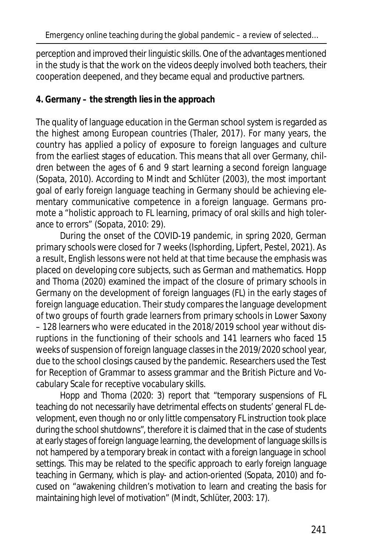perception and improved their linguistic skills. One of the advantages mentioned in the study is that the work on the videos deeply involved both teachers, their cooperation deepened, and they became equal and productive partners.

#### **4. Germany – the strength lies in the approach**

The quality of language education in the German school system is regarded as the highest among European countries (Thaler, 2017). For many years, the country has applied a policy of exposure to foreign languages and culture from the earliest stages of education. This means that all over Germany, children between the ages of 6 and 9 start learning a second foreign language (Sopata, 2010). According to Mindt and Schlüter (2003), the most important goal of early foreign language teaching in Germany should be achieving elementary communicative competence in a foreign language. Germans promote a "holistic approach to FL learning, primacy of oral skills and high tolerance to errors" (Sopata, 2010: 29).

During the onset of the COVID-19 pandemic, in spring 2020, German primary schools were closed for 7 weeks (Isphording, Lipfert, Pestel, 2021). As a result, English lessons were not held at that time because the emphasis was placed on developing core subjects, such as German and mathematics. Hopp and Thoma (2020) examined the impact of the closure of primary schools in Germany on the development of foreign languages (FL) in the early stages of foreign language education. Their study compares the language development of two groups of fourth grade learners from primary schools in Lower Saxony – 128 learners who were educated in the 2018/2019 school year without disruptions in the functioning of their schools and 141 learners who faced 15 weeks of suspension of foreign language classes in the 2019/2020 school year, due to the school closings caused by the pandemic. Researchers used the Test for Reception of Grammar to assess grammar and the British Picture and Vocabulary Scale for receptive vocabulary skills.

Hopp and Thoma (2020: 3) report that "temporary suspensions of FL teaching do not necessarily have detrimental effects on students' general FL development, even though no or only little compensatory FL instruction took place during the school shutdowns", therefore it is claimed that in the case of students at early stages of foreign language learning, the development of language skills is not hampered by a temporary break in contact with a foreign language in school settings. This may be related to the specific approach to early foreign language teaching in Germany, which is play- and action-oriented (Sopata, 2010) and focused on "awakening children's motivation to learn and creating the basis for maintaining high level of motivation" (Mindt, Schlüter, 2003: 17).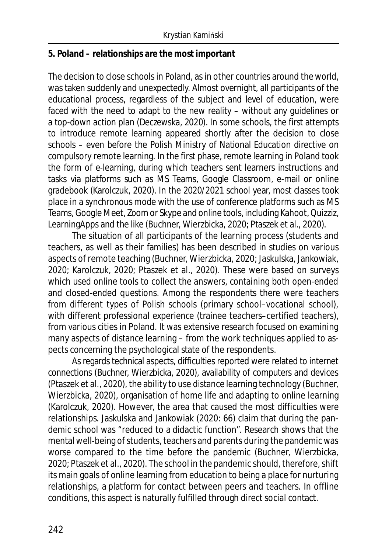#### **5. Poland – relationships are the most important**

The decision to close schools in Poland, as in other countries around the world, was taken suddenly and unexpectedly. Almost overnight, all participants of the educational process, regardless of the subject and level of education, were faced with the need to adapt to the new reality – without any guidelines or a top-down action plan (Deczewska, 2020). In some schools, the first attempts to introduce remote learning appeared shortly after the decision to close schools – even before the Polish Ministry of National Education directive on compulsory remote learning. In the first phase, remote learning in Poland took the form of e-learning, during which teachers sent learners instructions and tasks via platforms such as MS Teams, Google Classroom, e-mail or online gradebook (Karolczuk, 2020). In the 2020/2021 school year, most classes took place in a synchronous mode with the use of conference platforms such as MS Teams, Google Meet, Zoom or Skype and online tools, including Kahoot, Quizziz, LearningApps and the like (Buchner, Wierzbicka, 2020; Ptaszek et al., 2020).

The situation of all participants of the learning process (students and teachers, as well as their families) has been described in studies on various aspects of remote teaching (Buchner, Wierzbicka, 2020; Jaskulska, Jankowiak, 2020; Karolczuk, 2020; Ptaszek et al., 2020). These were based on surveys which used online tools to collect the answers, containing both open-ended and closed-ended questions. Among the respondents there were teachers from different types of Polish schools (primary school–vocational school), with different professional experience (trainee teachers–certified teachers), from various cities in Poland. It was extensive research focused on examining many aspects of distance learning – from the work techniques applied to aspects concerning the psychological state of the respondents.

As regards technical aspects, difficulties reported were related to internet connections (Buchner, Wierzbicka, 2020), availability of computers and devices (Ptaszek et al., 2020), the ability to use distance learning technology (Buchner, Wierzbicka, 2020), organisation of home life and adapting to online learning (Karolczuk, 2020). However, the area that caused the most difficulties were relationships. Jaskulska and Jankowiak (2020: 66) claim that during the pandemic school was "reduced to a didactic function". Research shows that the mental well-being of students, teachers and parents during the pandemic was worse compared to the time before the pandemic (Buchner, Wierzbicka, 2020; Ptaszek et al., 2020). The school in the pandemic should, therefore, shift its main goals of online learning from education to being a place for nurturing relationships, a platform for contact between peers and teachers. In offline conditions, this aspect is naturally fulfilled through direct social contact.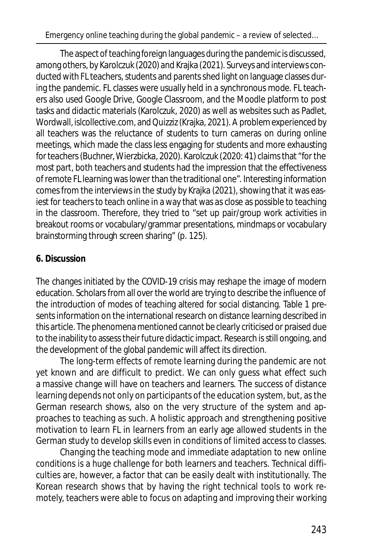The aspect of teaching foreign languages during the pandemic is discussed, among others, by Karolczuk (2020) and Krajka (2021). Surveys and interviews conducted with FL teachers, students and parents shed light on language classes during the pandemic. FL classes were usually held in a synchronous mode. FL teachers also used Google Drive, Google Classroom, and the Moodle platform to post tasks and didactic materials (Karolczuk, 2020) as well as websites such as Padlet, Wordwall, islcollective.com, and Quizziz (Krajka, 2021). A problem experienced by all teachers was the reluctance of students to turn cameras on during online meetings, which made the class less engaging for students and more exhausting for teachers (Buchner, Wierzbicka, 2020). Karolczuk (2020: 41) claims that "for the most part, both teachers and students had the impression that the effectiveness of remote FL learning was lower than the traditional one". Interesting information comes from the interviews in the study by Krajka (2021), showing that it was easiest for teachers to teach online in a way that was as close as possible to teaching in the classroom. Therefore, they tried to "set up pair/group work activities in breakout rooms or vocabulary/grammar presentations, mindmaps or vocabulary brainstorming through screen sharing" (p. 125).

#### **6. Discussion**

The changes initiated by the COVID-19 crisis may reshape the image of modern education. Scholars from all over the world are trying to describe the influence of the introduction of modes of teaching altered for social distancing. Table 1 presents information on the international research on distance learning described in this article. The phenomena mentioned cannot be clearly criticised or praised due to the inability to assess their future didactic impact. Research is still ongoing, and the development of the global pandemic will affect its direction.

The long-term effects of remote learning during the pandemic are not yet known and are difficult to predict. We can only guess what effect such a massive change will have on teachers and learners. The success of distance learning depends not only on participants of the education system, but, as the German research shows, also on the very structure of the system and approaches to teaching as such. A holistic approach and strengthening positive motivation to learn FL in learners from an early age allowed students in the German study to develop skills even in conditions of limited access to classes.

Changing the teaching mode and immediate adaptation to new online conditions is a huge challenge for both learners and teachers. Technical difficulties are, however, a factor that can be easily dealt with institutionally. The Korean research shows that by having the right technical tools to work remotely, teachers were able to focus on adapting and improving their working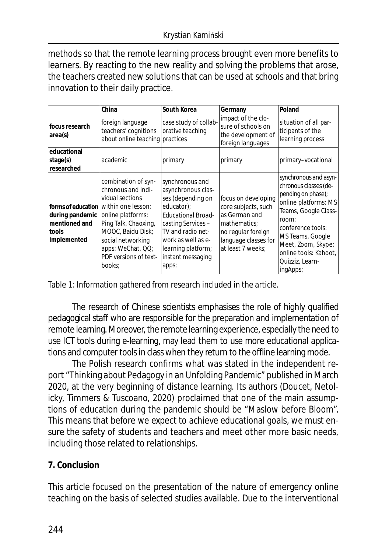methods so that the remote learning process brought even more benefits to learners. By reacting to the new reality and solving the problems that arose, the teachers created new solutions that can be used at schools and that bring innovation to their daily practice.

|                                                          | China                                                                                                                                                                                                                                                | South Korea                                                                                                                                                                                                                | Germany                                                                                                                                        | Poland                                                                                                                                                                                                                                               |
|----------------------------------------------------------|------------------------------------------------------------------------------------------------------------------------------------------------------------------------------------------------------------------------------------------------------|----------------------------------------------------------------------------------------------------------------------------------------------------------------------------------------------------------------------------|------------------------------------------------------------------------------------------------------------------------------------------------|------------------------------------------------------------------------------------------------------------------------------------------------------------------------------------------------------------------------------------------------------|
| focus research<br>area(s)                                | foreign language<br>teachers' cognitions<br>about online teaching practices                                                                                                                                                                          | case study of collab-<br>orative teaching                                                                                                                                                                                  | impact of the clo-<br>sure of schools on<br>the development of<br>foreign languages                                                            | situation of all par-<br>ticipants of the<br>learning process                                                                                                                                                                                        |
| educational<br>stage(s)<br>researched                    | academic                                                                                                                                                                                                                                             | primary                                                                                                                                                                                                                    | primary                                                                                                                                        | primary-vocational                                                                                                                                                                                                                                   |
| during pandemic<br>mentioned and<br>tools<br>implemented | combination of syn-<br>chronous and indi-<br>vidual sections<br>forms of education within one lesson;<br>online platforms:<br>Ping Talk, Chaoxing,<br>MOOC, Baidu Disk;<br>social networking<br>apps: WeChat, QQ;<br>PDF versions of text-<br>books; | synchronous and<br>asynchronous clas-<br>ses (depending on<br>educator);<br><b>Educational Broad-</b><br>casting Services -<br>TV and radio net-<br>work as well as e-<br>learning platform;<br>instant messaging<br>apps; | focus on developing<br>core subjects, such<br>as German and<br>mathematics:<br>no regular foreign<br>language classes for<br>at least 7 weeks: | synchronous and asyn-<br>chronous classes (de-<br>pending on phase);<br>online platforms: MS<br>Teams, Google Class-<br>room;<br>conference tools:<br>MS Teams, Google<br>Meet, Zoom, Skype;<br>online tools: Kahoot,<br>Quizziz, Learn-<br>ingApps; |

Table 1: Information gathered from research included in the article.

The research of Chinese scientists emphasises the role of highly qualified pedagogical staff who are responsible for the preparation and implementation of remote learning. Moreover, the remote learning experience, especially the need to use ICT tools during e-learning, may lead them to use more educational applications and computer tools in class when they return to the offline learning mode.

The Polish research confirms what was stated in the independent report "Thinking about Pedagogy in an Unfolding Pandemic" published in March 2020, at the very beginning of distance learning. Its authors (Doucet, Netolicky, Timmers & Tuscoano, 2020) proclaimed that one of the main assumptions of education during the pandemic should be "Maslow before Bloom". This means that before we expect to achieve educational goals, we must ensure the safety of students and teachers and meet other more basic needs, including those related to relationships.

#### **7. Conclusion**

This article focused on the presentation of the nature of emergency online teaching on the basis of selected studies available. Due to the interventional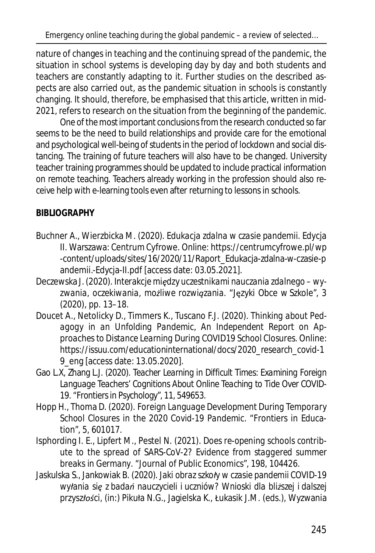Emergency online teaching during the global pandemic – a review of selected…

nature of changes in teaching and the continuing spread of the pandemic, the situation in school systems is developing day by day and both students and teachers are constantly adapting to it. Further studies on the described aspects are also carried out, as the pandemic situation in schools is constantly changing. It should, therefore, be emphasised that this article, written in mid-2021, refers to research on the situation from the beginning of the pandemic.

One of the most important conclusions from the research conducted so far seems to be the need to build relationships and provide care for the emotional and psychological well-being of students in the period of lockdown and social distancing. The training of future teachers will also have to be changed. University teacher training programmes should be updated to include practical information on remote teaching. Teachers already working in the profession should also receive help with e-learning tools even after returning to lessons in schools.

#### **BIBLIOGRAPHY**

- Buchner A., Wierzbicka M. (2020). *Edukacja zdalna w czasie pandemii. Edycja II*. Warszawa: Centrum Cyfrowe. Online: https://centrumcyfrowe.pl/wp -content/uploads/sites/16/2020/11/Raport\_Edukacja-zdalna-w-czasie-p andemii.-Edycja-II.pdf [access date: 03.05.2021].
- Deczewska J. (2020). *Interakcje między uczestnikami nauczania zdalnego wyzwania, oczekiwania, możliwe rozwiązania*. "Języki Obce w Szkole", 3 (2020), pp. 13–18.
- Doucet A., Netolicky D., Timmers K., Tuscano F.J. (2020). *Thinking about Pedagogy in an Unfolding Pandemic, An Independent Report on Approaches to Distance Learning During COVID19 School Closures*. Online: https://issuu.com/educationinternational/docs/2020\_research\_covid-1 9\_eng [access date: 13.05.2020].
- Gao L.X, Zhang L.J. (2020). *Teacher Learning in Difficult Times: Examining Foreign Language Teachers' Cognitions About Online Teaching to Tide Over COVID-19*. "Frontiers in Psychology", 11, 549653.
- Hopp H., Thoma D. (2020). *Foreign Language Development During Temporary School Closures in the 2020 Covid-19 Pandemic*. "Frontiers in Education", 5, 601017.
- Isphording I. E., Lipfert M., Pestel N. (2021). *Does re-opening schools contribute to the spread of SARS-CoV-2? Evidence from staggered summer breaks in Germany*. "Journal of Public Economics", 198, 104426.
- Jaskulska S., Jankowiak B. (2020). *Jaki obraz szkoły w czasie pandemii COVID-19 wyłania się z badań nauczycieli i uczniów? Wnioski dla bliższej i dalszej przyszłości*, (in:) Pikuła N.G., Jagielska K., Łukasik J.M. (eds.), Wyzwania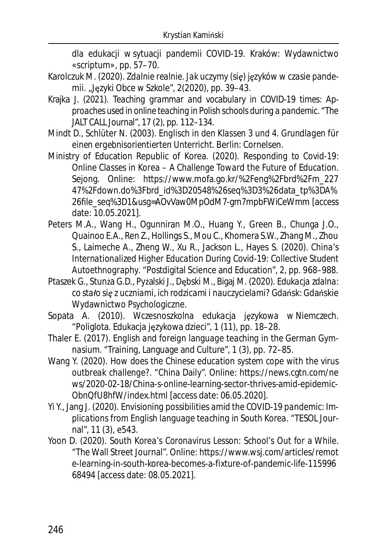dla edukacji w sytuacji pandemii COVID-19. Kraków: Wydawnictwo «scriptum», pp. 57–70.

- Karolczuk M. (2020). *Zdalnie realnie. Jak uczymy (się) języków w czasie pandemii*. "Języki Obce w Szkole", 2(2020), pp. 39–43.
- Krajka J. (2021). *Teaching grammar and vocabulary in COVID-19 times: Approaches used in online teaching in Polish schools during a pandemic*. "The JALT CALL Journal", 17 (2), pp. 112–134.
- Mindt D., Schlüter N. (2003). *Englisch in den Klassen 3 und 4. Grundlagen für einen ergebnisorientierten Unterricht*. Berlin: Cornelsen.
- Ministry of Education Republic of Korea. (2020). *Responding to Covid-19: Online Classes in Korea – A Challenge Toward the Future of Education*. Sejong. Online: https://www.mofa.go.kr/%2Feng%2Fbrd%2Fm\_227 47%2Fdown.do%3Fbrd\_id%3D20548%26seq%3D3%26data\_tp%3DA% 26file\_seq%3D1&usg=AOvVaw0MpOdM7-gm7mpbFWiCeWmm [access date: 10.05.2021].
- Peters M.A., Wang H., Ogunniran M.O., Huang Y., Green B., Chunga J.O., Quainoo E.A., Ren Z., Hollings S., Mou C., Khomera S.W., Zhang M., Zhou S., Laimeche A., Zheng W., Xu R., Jackson L., Hayes S. (2020). *China's Internationalized Higher Education During Covid-19: Collective Student Autoethnography*. "Postdigital Science and Education", 2, pp. 968–988.
- Ptaszek G., Stunża G.D., Pyżalski J., Dębski M., Bigaj M. (2020). *Edukacja zdalna: co stało się z uczniami, ich rodzicami i nauczycielami?* Gdańsk: Gdańskie Wydawnictwo Psychologiczne.
- Sopata A. (2010). *Wczesnoszkolna edukacja językowa w Niemczech*. "Poliglota. Edukacja językowa dzieci", 1 (11), pp. 18–28.
- Thaler E. (2017). *English and foreign language teaching in the German Gymnasium*. "Training, Language and Culture", 1 (3), pp. 72–85.
- Wang Y. (2020). *How does the Chinese education system cope with the virus outbreak challenge?*. "China Daily". Online: https://news.cgtn.com/ne ws/2020-02-18/China-s-online-learning-sector-thrives-amid-epidemic-ObnQfU8hfW/index.html [access date: 06.05.2020].
- Yi Y., Jang J. (2020). *Envisioning possibilities amid the COVID-19 pandemic: Implications from English language teaching in South Korea.* "TESOL Journal", 11 (3), e543.
- Yoon D. (2020). *South Korea's Coronavirus Lesson: School's Out for a While*. "The Wall Street Journal". Online: https://www.wsj.com/articles/remot e-learning-in-south-korea-becomes-a-fixture-of-pandemic-life-115996 68494 [access date: 08.05.2021].